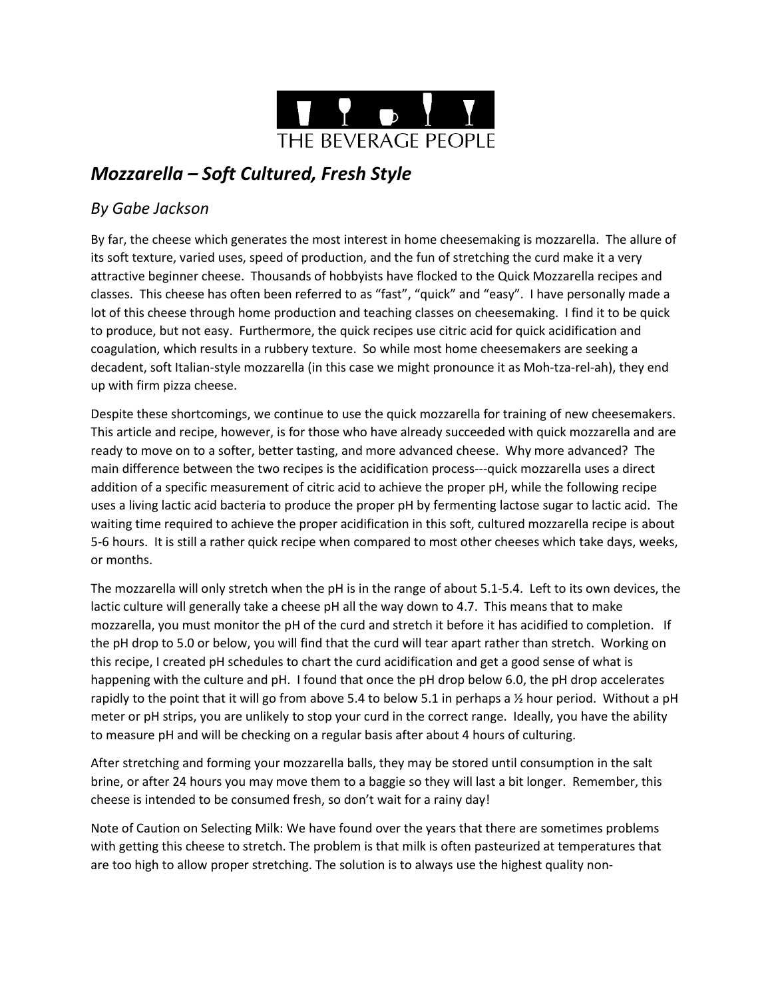

# *Mozzarella – Soft Cultured, Fresh Style*

## *By Gabe Jackson*

By far, the cheese which generates the most interest in home cheesemaking is mozzarella. The allure of its soft texture, varied uses, speed of production, and the fun of stretching the curd make it a very attractive beginner cheese. Thousands of hobbyists have flocked to the Quick Mozzarella recipes and classes. This cheese has often been referred to as "fast", "quick" and "easy". I have personally made a lot of this cheese through home production and teaching classes on cheesemaking. I find it to be quick to produce, but not easy. Furthermore, the quick recipes use citric acid for quick acidification and coagulation, which results in a rubbery texture. So while most home cheesemakers are seeking a decadent, soft Italian-style mozzarella (in this case we might pronounce it as Moh-tza-rel-ah), they end up with firm pizza cheese.

Despite these shortcomings, we continue to use the quick mozzarella for training of new cheesemakers. This article and recipe, however, is for those who have already succeeded with quick mozzarella and are ready to move on to a softer, better tasting, and more advanced cheese. Why more advanced? The main difference between the two recipes is the acidification process---quick mozzarella uses a direct addition of a specific measurement of citric acid to achieve the proper pH, while the following recipe uses a living lactic acid bacteria to produce the proper pH by fermenting lactose sugar to lactic acid. The waiting time required to achieve the proper acidification in this soft, cultured mozzarella recipe is about 5-6 hours. It is still a rather quick recipe when compared to most other cheeses which take days, weeks, or months.

The mozzarella will only stretch when the pH is in the range of about 5.1-5.4. Left to its own devices, the lactic culture will generally take a cheese pH all the way down to 4.7. This means that to make mozzarella, you must monitor the pH of the curd and stretch it before it has acidified to completion. If the pH drop to 5.0 or below, you will find that the curd will tear apart rather than stretch. Working on this recipe, I created pH schedules to chart the curd acidification and get a good sense of what is happening with the culture and pH. I found that once the pH drop below 6.0, the pH drop accelerates rapidly to the point that it will go from above 5.4 to below 5.1 in perhaps a  $\frac{1}{2}$  hour period. Without a pH meter or pH strips, you are unlikely to stop your curd in the correct range. Ideally, you have the ability to measure pH and will be checking on a regular basis after about 4 hours of culturing.

After stretching and forming your mozzarella balls, they may be stored until consumption in the salt brine, or after 24 hours you may move them to a baggie so they will last a bit longer. Remember, this cheese is intended to be consumed fresh, so don't wait for a rainy day!

Note of Caution on Selecting Milk: We have found over the years that there are sometimes problems with getting this cheese to stretch. The problem is that milk is often pasteurized at temperatures that are too high to allow proper stretching. The solution is to always use the highest quality non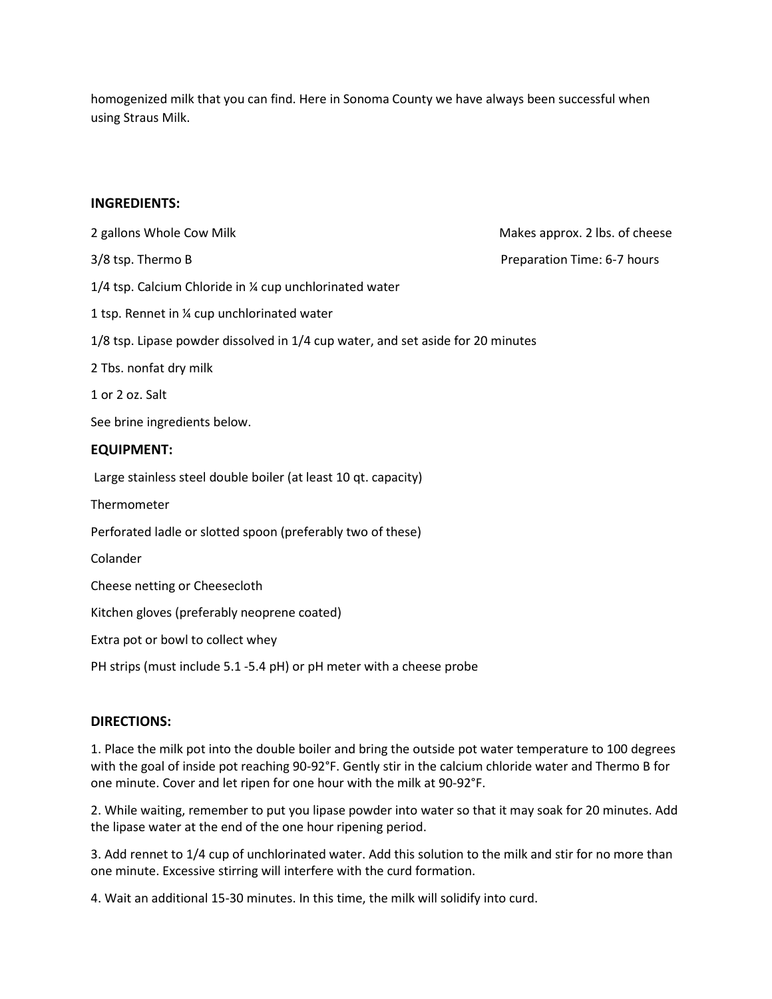homogenized milk that you can find. Here in Sonoma County we have always been successful when using Straus Milk.

#### **INGREDIENTS:**

2 gallons Whole Cow Milk **Makes approx.** 2 lbs. of cheese 3/8 tsp. Thermo B **Preparation Time: 6-7 hours** Preparation Time: 6-7 hours 1/4 tsp. Calcium Chloride in ¼ cup unchlorinated water 1 tsp. Rennet in ¼ cup unchlorinated water 1/8 tsp. Lipase powder dissolved in 1/4 cup water, and set aside for 20 minutes 2 Tbs. nonfat dry milk 1 or 2 oz. Salt See brine ingredients below. **EQUIPMENT:** Large stainless steel double boiler (at least 10 qt. capacity) **Thermometer** Perforated ladle or slotted spoon (preferably two of these) Colander Cheese netting or Cheesecloth Kitchen gloves (preferably neoprene coated) Extra pot or bowl to collect whey PH strips (must include 5.1 -5.4 pH) or pH meter with a cheese probe

#### **DIRECTIONS:**

1. Place the milk pot into the double boiler and bring the outside pot water temperature to 100 degrees with the goal of inside pot reaching 90-92°F. Gently stir in the calcium chloride water and Thermo B for one minute. Cover and let ripen for one hour with the milk at 90-92°F.

2. While waiting, remember to put you lipase powder into water so that it may soak for 20 minutes. Add the lipase water at the end of the one hour ripening period.

3. Add rennet to 1/4 cup of unchlorinated water. Add this solution to the milk and stir for no more than one minute. Excessive stirring will interfere with the curd formation.

4. Wait an additional 15-30 minutes. In this time, the milk will solidify into curd.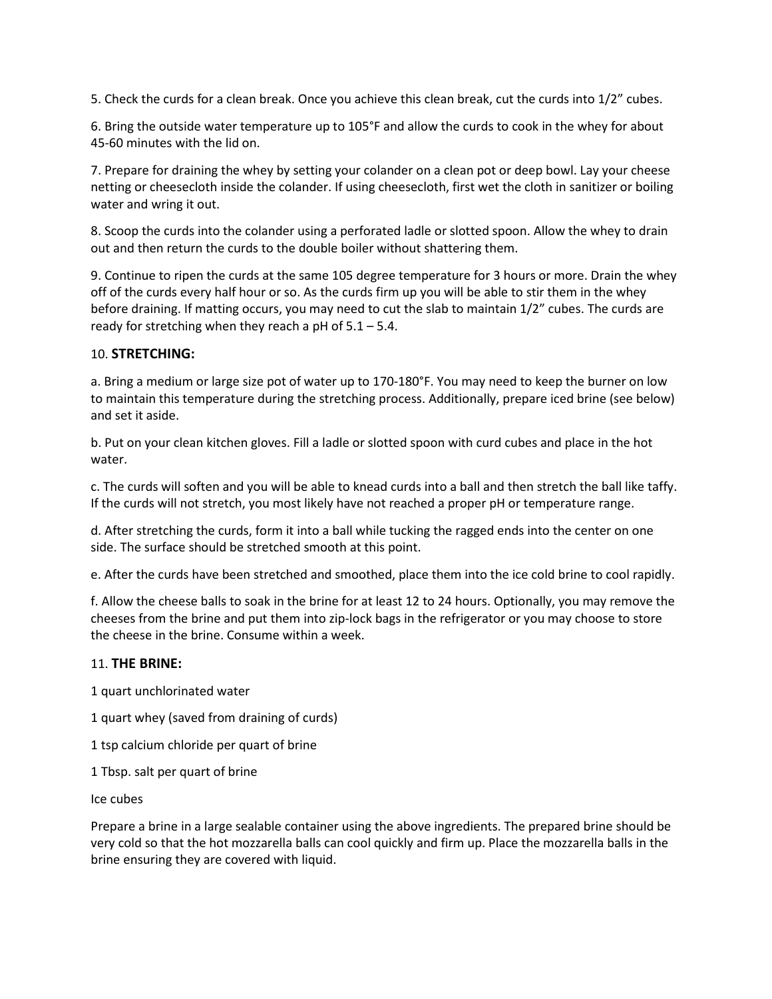5. Check the curds for a clean break. Once you achieve this clean break, cut the curds into 1/2" cubes.

6. Bring the outside water temperature up to 105°F and allow the curds to cook in the whey for about 45-60 minutes with the lid on.

7. Prepare for draining the whey by setting your colander on a clean pot or deep bowl. Lay your cheese netting or cheesecloth inside the colander. If using cheesecloth, first wet the cloth in sanitizer or boiling water and wring it out.

8. Scoop the curds into the colander using a perforated ladle or slotted spoon. Allow the whey to drain out and then return the curds to the double boiler without shattering them.

9. Continue to ripen the curds at the same 105 degree temperature for 3 hours or more. Drain the whey off of the curds every half hour or so. As the curds firm up you will be able to stir them in the whey before draining. If matting occurs, you may need to cut the slab to maintain 1/2" cubes. The curds are ready for stretching when they reach a pH of  $5.1 - 5.4$ .

### 10. **STRETCHING:**

a. Bring a medium or large size pot of water up to 170-180°F. You may need to keep the burner on low to maintain this temperature during the stretching process. Additionally, prepare iced brine (see below) and set it aside.

b. Put on your clean kitchen gloves. Fill a ladle or slotted spoon with curd cubes and place in the hot water.

c. The curds will soften and you will be able to knead curds into a ball and then stretch the ball like taffy. If the curds will not stretch, you most likely have not reached a proper pH or temperature range.

d. After stretching the curds, form it into a ball while tucking the ragged ends into the center on one side. The surface should be stretched smooth at this point.

e. After the curds have been stretched and smoothed, place them into the ice cold brine to cool rapidly.

f. Allow the cheese balls to soak in the brine for at least 12 to 24 hours. Optionally, you may remove the cheeses from the brine and put them into zip-lock bags in the refrigerator or you may choose to store the cheese in the brine. Consume within a week.

#### 11. **THE BRINE:**

1 quart unchlorinated water

1 quart whey (saved from draining of curds)

1 tsp calcium chloride per quart of brine

1 Tbsp. salt per quart of brine

Ice cubes

Prepare a brine in a large sealable container using the above ingredients. The prepared brine should be very cold so that the hot mozzarella balls can cool quickly and firm up. Place the mozzarella balls in the brine ensuring they are covered with liquid.